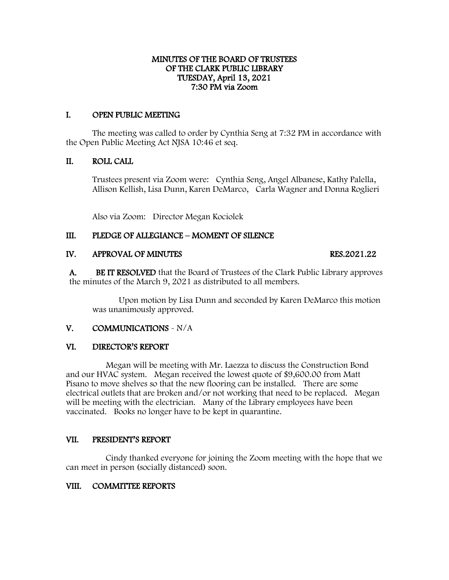## MINUTES OF THE BOARD OF TRUSTEES OF THE CLARK PUBLIC LIBRARY TUESDAY, April 13, 2021 7:30 PM via Zoom

# I. OPEN PUBLIC MEETING

The meeting was called to order by Cynthia Seng at 7:32 PM in accordance with the Open Public Meeting Act NJSA 10:46 et seq.

# II. ROLL CALL

Trustees present via Zoom were: Cynthia Seng, Angel Albanese, Kathy Palella, Allison Kellish, Lisa Dunn, Karen DeMarco, Carla Wagner and Donna Roglieri

Also via Zoom: Director Megan Kociolek

# III. PLEDGE OF ALLEGIANCE – MOMENT OF SILENCE

## IV. APPROVAL OF MINUTES RES.2021.22

A. BE IT RESOLVED that the Board of Trustees of the Clark Public Library approves the minutes of the March 9, 2021 as distributed to all members.

Upon motion by Lisa Dunn and seconded by Karen DeMarco this motion was unanimously approved.

## V. COMMUNICATIONS - N/A

## VI. DIRECTOR'S REPORT

 Megan will be meeting with Mr. Laezza to discuss the Construction Bond and our HVAC system. Megan received the lowest quote of \$9,600.00 from Matt Pisano to move shelves so that the new flooring can be installed. There are some electrical outlets that are broken and/or not working that need to be replaced. Megan will be meeting with the electrician. Many of the Library employees have been vaccinated. Books no longer have to be kept in quarantine.

## VII. PRESIDENT'S REPORT

 Cindy thanked everyone for joining the Zoom meeting with the hope that we can meet in person (socially distanced) soon.

## VIII. COMMITTEE REPORTS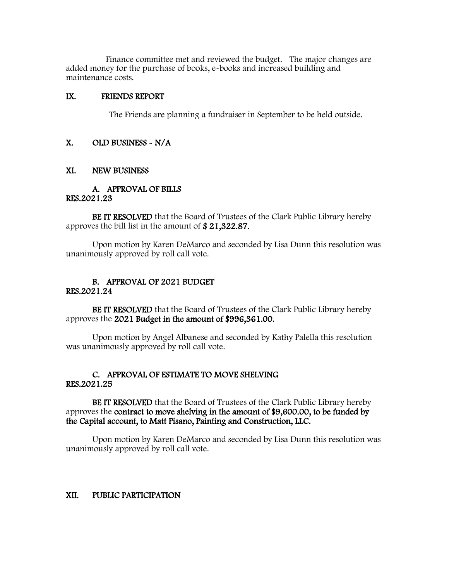Finance committee met and reviewed the budget. The major changes are added money for the purchase of books, e-books and increased building and maintenance costs.

### IX. FRIENDS REPORT

The Friends are planning a fundraiser in September to be held outside.

### X. OLD BUSINESS - N/A

#### XI. NEW BUSINESS

#### A. APPROVAL OF BILLS RES.2021.23

BE IT RESOLVED that the Board of Trustees of the Clark Public Library hereby approves the bill list in the amount of \$ 21,322.87.

Upon motion by Karen DeMarco and seconded by Lisa Dunn this resolution was unanimously approved by roll call vote.

#### B. APPROVAL OF 2021 BUDGET RES.2021.24

BE IT RESOLVED that the Board of Trustees of the Clark Public Library hereby approves the 2021 Budget in the amount of \$996,361.00.

Upon motion by Angel Albanese and seconded by Kathy Palella this resolution was unanimously approved by roll call vote.

## C. APPROVAL OF ESTIMATE TO MOVE SHELVING RES.2021.25

BE IT RESOLVED that the Board of Trustees of the Clark Public Library hereby approves the contract to move shelving in the amount of \$9,600.00, to be funded by the Capital account, to Matt Pisano, Painting and Construction, LLC.

Upon motion by Karen DeMarco and seconded by Lisa Dunn this resolution was unanimously approved by roll call vote.

## XII. PUBLIC PARTICIPATION